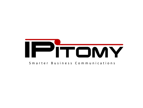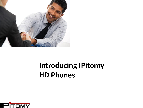

### **Introducing IPitomy HD Phones**

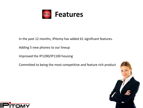

In the past 12 months, IPitomy has added 61 significant features.

Adding 5 new phones to our lineup

Improved the IP1200/IP1100 housing

Committed to being the most competitive and feature rich product



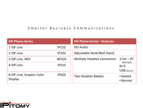#### Smarter Business Communications

| <b>HD Phone Series</b>                      |              | <b>HD Phone Series - Features</b>                                        |                      |
|---------------------------------------------|--------------|--------------------------------------------------------------------------|----------------------|
| 1-SIP Line                                  | <b>IP210</b> | <b>HD Audio</b>                                                          |                      |
| 2-SIP Line                                  | <b>IP320</b> | Adjustable Desk/Wall Stand                                               |                      |
| 2-SIP Line, WiFi                            | WI320        | <b>Multiple Headset connectors</b><br>$3.5in-PC$<br>(Mic/Spkr)<br>$RJ-9$ |                      |
| 4-SIP Line                                  | <b>IP410</b> |                                                                          |                      |
|                                             |              |                                                                          | <b>USB</b> (future)  |
| 8-SIP Line, Graphic Color<br><b>Display</b> | <b>IP620</b> | <b>Two Headset Modes</b>                                                 | • Seated<br>• Normal |

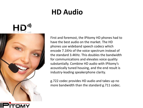#### **HD Audio**



First and foremost, the IPitomy HD phones had to have the best audio on the market. The HD phones use wideband speech codecs which encode 7.1KHz of the voice spectrum instead of the standard 3.4KHz. This doubles the bandwidth for communications and elevates voice quality substantially. Combine HD audio with IPitomy's acoustically tuned housing, and the end result is industry-leading speakerphone clarity.

g.722 codec provides HD audio and takes up no more bandwidth than the standard g.711 codec.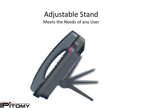#### Adjustable Stand

Meets the Needs of any User



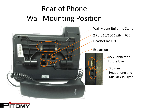## Rear of Phone Wall Mounting Position



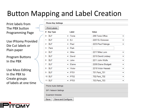### Button Mapping and Label Creation

Print labels from The PBX button Programming Page

Use IPitomy Provided Die Cut labels or Plain paper

Program Buttons In the PBX

Use Mass Editing In the PBX to Create groups of labels at one time

| <b>Key Type</b><br># | Label                            | Value                 |
|----------------------|----------------------------------|-----------------------|
| <b>BLF</b>           | Tonie<br>▼                       | 299: Tonie Office     |
| <b>BLF</b>           | EJ<br>▼                          | 2207:EJ Donovan       |
| <b>BLF</b>           | Paul<br>$\overline{\phantom{a}}$ | 2233: Paul Falanga    |
| Park                 | Park<br>▼                        |                       |
| <b>BLF</b>           | Mike<br>▼                        | 2217: Mike Lunn       |
| <b>BLF</b>           | David<br>۰                       | 2210:David Lindsey    |
| <b>BLF</b>           | John<br>$\overline{\phantom{a}}$ | 2211:John Wolfe       |
| <b>BLF</b>           | Elaine<br>▼                      | 2208: Elaine Blodgett |
| <b>BLF</b>           | Victor<br>▼                      | 2218: Victor Hassab   |
| <b>BLF</b>           | P701<br>▼                        | 701: Park_701         |
| 10 BLF               | P702<br>▼                        | 702: Park_702         |
| 11 BLF               | P703<br>▾┆                       | 703: Park_703         |

**Expansion Modules** 

Save Save and Configure

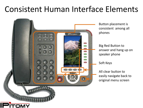## Consistent Human Interface Elements



Button placement is consistent among all phones

Big Red Button to answer and hang up on speaker phone

Soft Keys

All clear button to easily navigate back to original menu screen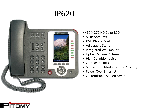

- 480 X 272 HD Color LCD
- 8 SIP Accounts
- XML Phone Book
- Adjustable Stand
- Integrated Wall mount
- Upload Screen Pictures
- High Definition Voice
- 2 Headset Ports
- 6 Expansion Modules up to 192 keys
- Power Over Ethernet
- Customizable Screen Saver

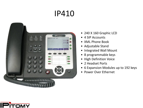

- 240 X 160 Graphic LCD
- 4 SIP Accounts
- XML Phone Book
- Adjustable Stand
- Integrated Wall Mount
- 8 programmable keys
- High Definition Voice
- 2 Headset Ports
- 6 Expansion Modules up to 192 keys
- Power Over Ethernet

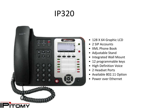

- 128 X 64 Graphic LCD
- 2 SIP Accounts
- XML Phone Book
- Adjustable Stand
- Integrated Wall Mount
- 12 programmable keys
- High Definition Voice
- 2 Headset Ports
- Available 802.11 Option
- Power over Ethernet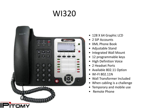# WI320



- 128 X 64 Graphic LCD
- 2 SIP Accounts
- XML Phone Book
- Adjustable Stand
- Integrated Wall Mount
- 12 programmable keys
- High Definition Voice
- 2 Headset Ports
- Available 802.11 Option
- WI-FI 802.11N
- Wall Transformer Included
- When cabling is a challenge
- Temporary and mobile use
- Remote Phone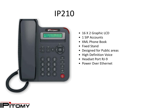![](_page_13_Picture_1.jpeg)

- 16 X 2 Graphic LCD
- 1 SIP Accounts
- XML Phone Book
- Fixed Stand
- Designed for Public areas
- High Definition Voice
- Headset Port RJ-9
- Power Over Ethernet

![](_page_13_Picture_10.jpeg)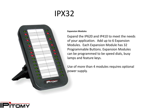## IPX32

![](_page_14_Figure_1.jpeg)

#### **Expansion Modules**

Expand the IP620 and IP410 to meet the needs of your application. Add up to 6 Expansion Modules. Each Expansion Module has 32 Programmable Buttons. Expansion Modules can be programmed to be speed dials, busy lamps and feature keys.

Use of more than 4 modules requires optional power supply.

![](_page_14_Picture_5.jpeg)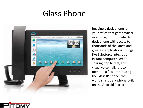### Glass Phone

![](_page_15_Picture_1.jpeg)

Imagine a desk phone for your office that gets smarter over time, not obsolete. A desk phone with access to thousands of the latest and greatest applications. Things like Salesforce integration, instant computer screen sharing, tap to dial, and visual voicemail, just to mention a few. Introducing the Glass IP phone, the world's first desk phone built on the Android Platform.

![](_page_15_Picture_3.jpeg)